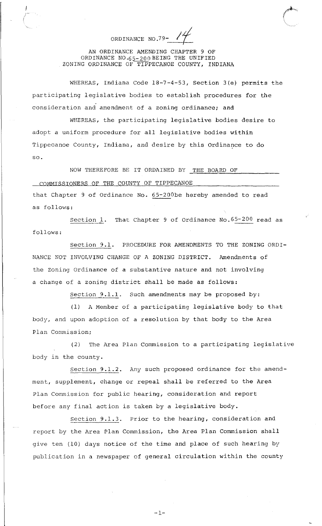ORDINANCE NO.79-

 $\mathscr{O}^{\bullet}$ 

' \  $\overline{\phantom{a}}$ 

AN ORDINANCE AMENDING CHAPTER 9 OF ORDINANCE NO. $65-200$  BEING THE UNIFIED ZONING ORDINANCE OF TIPPECANOE COUNTY, INDIANA

WHEREAS, Indiana Code 18-7-4-53, Section 3(e) permits the participating legislative bodies to establish procedures for the consideration and amendment of a zoning ordinance; and

WHEREAS, the participating legislative bodies desire to adopt a uniform procedure for all legislative bodies within Tippecanoe County, Indiana, and desire by this Ordinance to do so.

NOW THEREFORE BE IT ORDAINED BY THE BOARD OF COMMISSIONERS OF THE COUNTY OF TIPPECANOE that Chapter 9 of Ordinance No. 65-200be hereby amended to read as follows:

section l. That Chapter 9 of Ordinance No.65-200 read as follows:

Section 9.1. PROCEDURE FOR AMENDMENTS TO THE ZONING ORDI-NANCE NOT INVOLVING CHANGE OF A ZONING DISTRICT. Amendments of the zoning Ordinance of a substantive nature and not involving a change of a zoning district shall be made as follows:

Section 9.1.l. Such amendments may be proposed by:

(1) A Member of a participating legislative body to that body, and upon adoption of a resolution by that body to the Area Plan Commission;

(2) The Area Plan Commission to a participating legislative body in the county.

section 9.1.2. Any such proposed ordinance for the amendment, supplement, change or repeal shall be referred to the Area Plan Commission for public hearing, consideration and report before any final action is taken by a legislative body.

Section 9.1.3. Prior to the hearing, consideration and report by the Area Plan Commission, the Area Plan Commission shall give ten (10) days notice of the time and place of such hearing by publication in a newspaper of general circulation within the county

-1-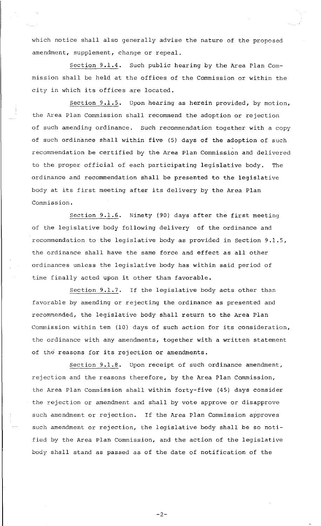which notice shall also generally advise the nature of the proposed amendment, supplement, change or repeal.

Section 9.1.4. Such public hearing by the Area Plan Commission shall be held at the offices of the Commission or within the city in which its offices are located.

Section 9.1.5. Upon hearing as herein provided, by motion, the Area Plan Commission shall recommend the adoption or rejection of such amending ordinance. Such recommendation together with a copy of such ordinance shall within five (5) days of the adoption of such recommendation be certified by the Area Plan Commission and delivered to the proper official of each participating legislative body. The ordinance and recommendation shall be presented to the legislative body at its first meeting after its delivery by the Area **Plan**  Commission.

Section 9.1.6. Ninety (90) days after the first meeting of the legislative body following delivery of the ordinance and recommendation to the legislative body as provided in Section 9.1.5, the ordinance shall have the same force and effect as all other ordinances unless the legislative body has within said period of time finally acted upon it other than favorable.

Section 9.1.7. If the legislative body acts other than favorable by amending or rejecting the ordinance as presented and recommended, the legislative body shall return to the Area Plan Commission within ten (10) days of such action for its consideration, the ordinance with any amendments, together with a written statement of the reasons for its rejection or amendments.

Section 9.1.8. Upon receipt of such ordinance amendment, rejection and the reasons therefore, by the Area Plan Commission, the Area Plan Commission shall within forty-five (45) days consider the rejection or amendment and shall by vote approve or disapprove such amendment or rejection. If the Area Plan Commission approves such amendment or rejection, the legislative body shall be so notified by the Area Plan Commission, and the action of the legislative body shall stand as passed as of the date of notification of the

-2-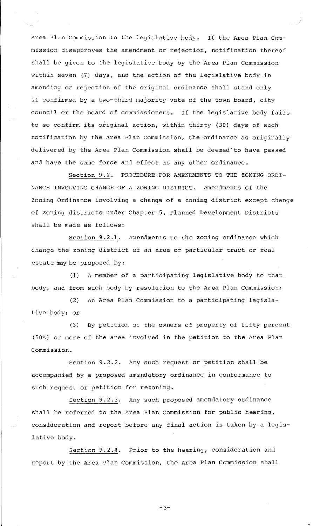Area Plan Commission to the legislative body. If the Area Plan Commission disapproves the amendment or rejection, notification thereof shall be given to the legislative body by the Area Plan Commission within seven (7) days, and the action of the legislative body in amending or rejection of the original ordinance shall stand only if confirmed by a two-third majority vote of the town board, city council or the board of commissioners. If the legislative body fails to so confirm its original action, within thirty (30) days of such notification by the Area Plan Commission, the ordinance as originally delivered by the Area Plan Commission shall be deemed'to have passed and have the same force and effect as any other ordinance.

Section 9.2. PROCEDURE FOR AMENDMENTS TO THE ZONING ORDI-NANCE INVOLVING CHANGE OF A ZONING DISTRICT. Amendments of the Zoning Ordinance involving a change of a zoning district except change of zoning districts under Chapter 5, Planned Development Districts shall be made as follows:

Section 9.2.1. Amendments to the zoning ordinance which change the zoning district of an area or particular tract or real estate may be proposed by:

(1) A member of a participating legislative body to that body, and from such body by resolution to the Area Plan Commission;

(2) An Area Plan Commission to a participating legislative body; or

(3) By petition of the owners of property of fifty percent (50%) or more of the area involved in the petition to the Area Plan Commission.

Section 9.2.2. Any such request or petition shall be accompanied by a proposed amendatory ordinance in conformance to such request or petition for rezoning.

section 9.2.3. Any such proposed amendatory ordinance shall be referred to the Area Plan Commission for public hearing, consideration and report before any final action is taken by a legislative body.

Section 9.2.4. Prior to the hearing, consideration and report by the Area Plan Commission, the Area Plan Commission shall

 $-3-$ 

'•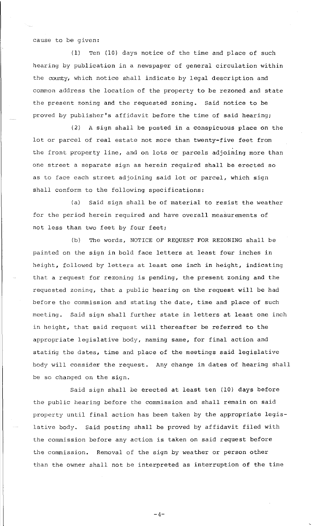cause to be given:

(1) Ten (10) days notice of the time and place of such hearing by publication in a newspaper of general circulation within the county, which notice shall indicate by legal description and common address the location of the property to be rezoned and state the present zoning and the requested zoning. Said notice to be proved by publisher's affidavit before the time of said hearing;

(2) A sign shall be posted in a conspicuous place on the lot or parcel of real estate not more than twenty-five feet from the front property line, and on lots or parcels adjoining more than one street a separate sign as herein required shall be erected so as to face each street adjoining said lot or parcel, which sign shall conform to the following specifications:

(a) Said sign shall be of material to resist the weather for the period herein required and have overall measurements of not less than two feet by four feet;

(b) The words, NOTICE OF REQUEST FOR REZONING shall be painted on the sign in bold face letters at least four inches in height, followed by letters at least one inch in height, indicating that a request for rezoning is pending, the present zoning and the requested zoning, that a public hearing on the request will be had before the commission and stating the date, time and place of such meeting. Said sign shall further state in letters at least one inch in height, that said request will thereafter be referred to the appropriate legislative body, naming same, for final action and stating the dates, time and place of the meetings said legislative body will consider the request. Any change in dates of hearing shall be so changed on the sign.

Said sign shall be erected at least ten (10) days before the public hearing before the commission and shall remain on said property until final action has been taken by the appropriate legislative body. Said posting shall be proved by affidavit filed with the commission before any action is taken on said request before the commission. Removal of the sign by weather or person other than the owner shall not be interpreted as interruption of the time

 $-4-$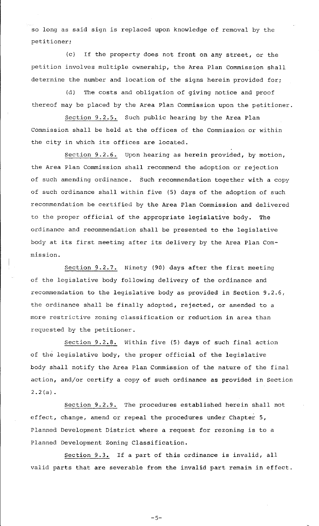so long as said sign is replaced upon knowledge of removal by the petitioner;

(c) If the property does not front on any street, or the petition involves multiple ownership, the Area Plan Commission shall determine the number and location of the signs herein provided for;

(d) The costs and obligation of giving notice and proof thereof may be placed by the Area Plan Commission upon the petitioner.

Section 9.2.5. Such public hearing by the Area Plan Commission shall be held at the offices of the Commission or within the city in which its offices are located.

Section 9.2.6. Upon hearing as herein provided, by motion, the Area Plan Commission shall recommend the adoption or rejection of such amending ordinance. Such recommendation together with a copy of such ordinance shall within five (5) days of the adoption of such recommendation be certified by the Area Plan Commission and delivered to the proper official of the appropriate legislative body. The ordinance and recommendation shall be presented to the legislative body at its first meeting after its delivery by the Area Plan Commission.

Section 9.2.7. Ninety (90) days after the first meeting of the legislative body following delivery of the ordinance and recommendation to the legislative body as provided in Section 9.2.6, the ordinance shall be finally adopted, rejected, or amended to a more restrictive zoning classification or reduction in area than requested by the petitioner.

Section 9.2.8. Within five (5) days of such final action of the legislative body, the proper official of the legislative body shall notify the Area Plan Commission of the nature of the final action, and/or certify a copy of such ordinance as provided in Section 2.2(a).

Section 9.2.9. The procedures established herein shall not effect, change, amend or repeal the procedures under Chapter 5, Planned Development District where a request for rezoning is to a Planned Development Zoning Classification.

Section 9.3. If a part of this ordinance is invalid, all valid parts that are severable from the invalid part remain in effect.

 $-5-$